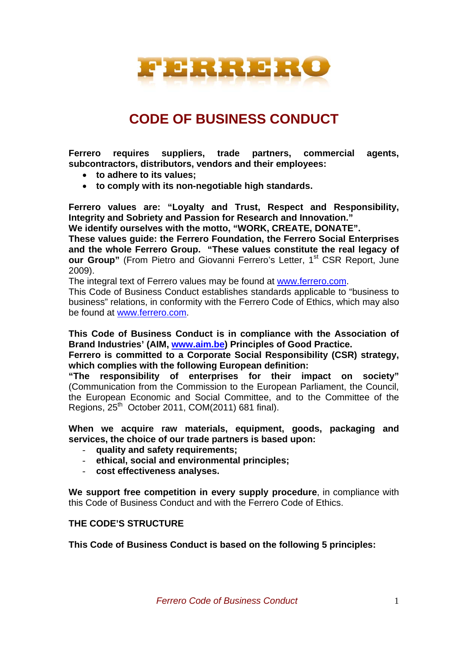

# **CODE OF BUSINESS CONDUCT**

**Ferrero requires suppliers, trade partners, commercial agents, subcontractors, distributors, vendors and their employees:** 

- **to adhere to its values;**
- **to comply with its non-negotiable high standards.**

**Ferrero values are: "Loyalty and Trust, Respect and Responsibility, Integrity and Sobriety and Passion for Research and Innovation."** 

**We identify ourselves with the motto, "WORK, CREATE, DONATE".** 

**These values guide: the Ferrero Foundation, the Ferrero Social Enterprises and the whole Ferrero Group. "These values constitute the real legacy of our Group**" (From Pietro and Giovanni Ferrero's Letter, 1<sup>st</sup> CSR Report. June 2009).

The integral text of Ferrero values may be found at www.ferrero.com.

This Code of Business Conduct establishes standards applicable to "business to business" relations, in conformity with the Ferrero Code of Ethics, which may also be found at www.ferrero.com.

**This Code of Business Conduct is in compliance with the Association of Brand Industries' (AIM, www.aim.be) Principles of Good Practice.** 

**Ferrero is committed to a Corporate Social Responsibility (CSR) strategy, which complies with the following European definition:** 

**"The responsibility of enterprises for their impact on society"**  (Communication from the Commission to the European Parliament, the Council, the European Economic and Social Committee, and to the Committee of the Regions,  $25<sup>th</sup>$  October 2011, COM(2011) 681 final).

**When we acquire raw materials, equipment, goods, packaging and services, the choice of our trade partners is based upon:** 

- **quality and safety requirements;**
- **ethical, social and environmental principles;**
- **cost effectiveness analyses.**

**We support free competition in every supply procedure**, in compliance with this Code of Business Conduct and with the Ferrero Code of Ethics.

#### **THE CODE'S STRUCTURE**

**This Code of Business Conduct is based on the following 5 principles:**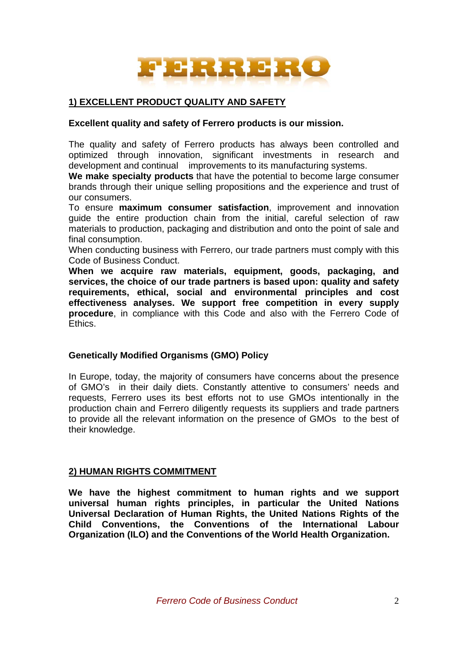

# **1) EXCELLENT PRODUCT QUALITY AND SAFETY**

### **Excellent quality and safety of Ferrero products is our mission.**

The quality and safety of Ferrero products has always been controlled and optimized through innovation, significant investments in research and development and continual improvements to its manufacturing systems.

**We make specialty products** that have the potential to become large consumer brands through their unique selling propositions and the experience and trust of our consumers.

To ensure **maximum consumer satisfaction**, improvement and innovation guide the entire production chain from the initial, careful selection of raw materials to production, packaging and distribution and onto the point of sale and final consumption.

When conducting business with Ferrero, our trade partners must comply with this Code of Business Conduct.

**When we acquire raw materials, equipment, goods, packaging, and services, the choice of our trade partners is based upon: quality and safety requirements, ethical, social and environmental principles and cost effectiveness analyses. We support free competition in every supply procedure**, in compliance with this Code and also with the Ferrero Code of Ethics.

# **Genetically Modified Organisms (GMO) Policy**

In Europe, today, the majority of consumers have concerns about the presence of GMO's in their daily diets. Constantly attentive to consumers' needs and requests, Ferrero uses its best efforts not to use GMOs intentionally in the production chain and Ferrero diligently requests its suppliers and trade partners to provide all the relevant information on the presence of GMOs to the best of their knowledge.

# **2) HUMAN RIGHTS COMMITMENT**

**We have the highest commitment to human rights and we support universal human rights principles, in particular the United Nations Universal Declaration of Human Rights, the United Nations Rights of the Child Conventions, the Conventions of the International Labour Organization (ILO) and the Conventions of the World Health Organization.**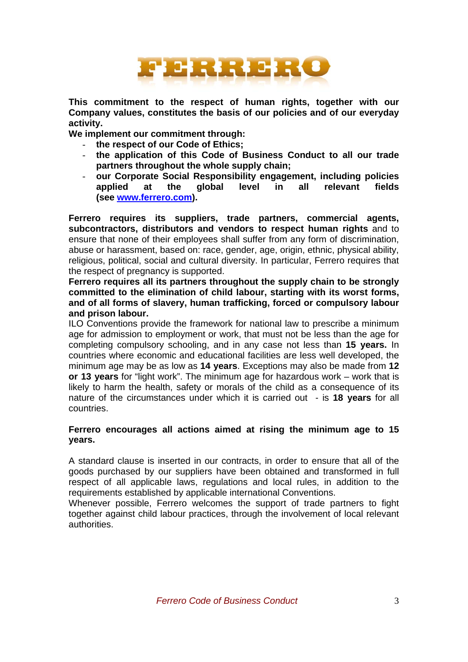

**This commitment to the respect of human rights, together with our Company values, constitutes the basis of our policies and of our everyday activity.** 

**We implement our commitment through:** 

- **the respect of our Code of Ethics;**
- **the application of this Code of Business Conduct to all our trade partners throughout the whole supply chain;**
- **our Corporate Social Responsibility engagement, including policies applied at the global level in all relevant fields (see www.ferrero.com).**

**Ferrero requires its suppliers, trade partners, commercial agents, subcontractors, distributors and vendors to respect human rights** and to ensure that none of their employees shall suffer from any form of discrimination, abuse or harassment, based on: race, gender, age, origin, ethnic, physical ability, religious, political, social and cultural diversity. In particular, Ferrero requires that the respect of pregnancy is supported.

**Ferrero requires all its partners throughout the supply chain to be strongly committed to the elimination of child labour, starting with its worst forms, and of all forms of slavery, human trafficking, forced or compulsory labour and prison labour.** 

ILO Conventions provide the framework for national law to prescribe a minimum age for admission to employment or work, that must not be less than the age for completing compulsory schooling, and in any case not less than **15 years.** In countries where economic and educational facilities are less well developed, the minimum age may be as low as **14 years**. Exceptions may also be made from **12 or 13 years** for "light work". The minimum age for hazardous work – work that is likely to harm the health, safety or morals of the child as a consequence of its nature of the circumstances under which it is carried out - is **18 years** for all countries.

## **Ferrero encourages all actions aimed at rising the minimum age to 15 years.**

A standard clause is inserted in our contracts, in order to ensure that all of the goods purchased by our suppliers have been obtained and transformed in full respect of all applicable laws, regulations and local rules, in addition to the requirements established by applicable international Conventions.

Whenever possible, Ferrero welcomes the support of trade partners to fight together against child labour practices, through the involvement of local relevant authorities.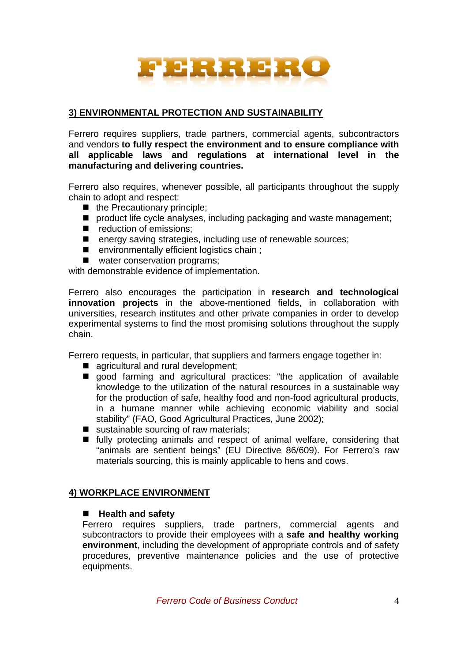

# **3) ENVIRONMENTAL PROTECTION AND SUSTAINABILITY**

Ferrero requires suppliers, trade partners, commercial agents, subcontractors and vendors **to fully respect the environment and to ensure compliance with all applicable laws and regulations at international level in the manufacturing and delivering countries.** 

Ferrero also requires, whenever possible, all participants throughout the supply chain to adopt and respect:

- $\blacksquare$  the Precautionary principle;
- product life cycle analyses, including packaging and waste management;
- eduction of emissions;
- energy saving strategies, including use of renewable sources;
- environmentally efficient logistics chain ;
- water conservation programs;

with demonstrable evidence of implementation.

Ferrero also encourages the participation in **research and technological innovation projects** in the above-mentioned fields, in collaboration with universities, research institutes and other private companies in order to develop experimental systems to find the most promising solutions throughout the supply chain.

Ferrero requests, in particular, that suppliers and farmers engage together in:

- agricultural and rural development:
- $\blacksquare$  good farming and agricultural practices: "the application of available knowledge to the utilization of the natural resources in a sustainable way for the production of safe, healthy food and non-food agricultural products, in a humane manner while achieving economic viability and social stability" (FAO, Good Agricultural Practices, June 2002);
- sustainable sourcing of raw materials;
- $\blacksquare$  fully protecting animals and respect of animal welfare, considering that "animals are sentient beings" (EU Directive 86/609). For Ferrero's raw materials sourcing, this is mainly applicable to hens and cows.

#### **4) WORKPLACE ENVIRONMENT**

#### **Health and safety**

Ferrero requires suppliers, trade partners, commercial agents and subcontractors to provide their employees with a **safe and healthy working environment**, including the development of appropriate controls and of safety procedures, preventive maintenance policies and the use of protective equipments.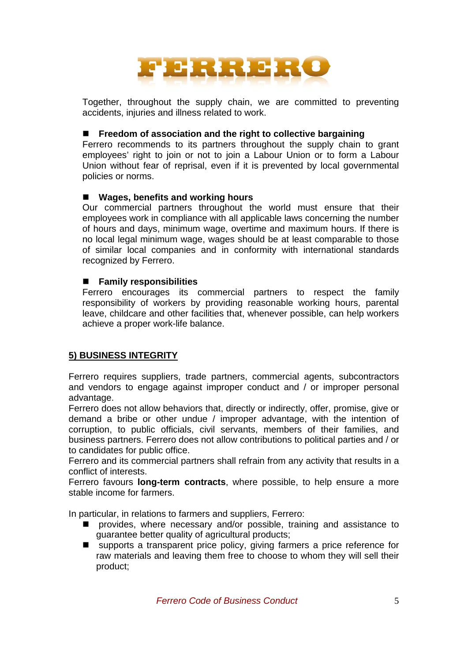

Together, throughout the supply chain, we are committed to preventing accidents, injuries and illness related to work.

## ■ Freedom of association and the right to collective bargaining

Ferrero recommends to its partners throughout the supply chain to grant employees' right to join or not to join a Labour Union or to form a Labour Union without fear of reprisal, even if it is prevented by local governmental policies or norms.

# **Wages, benefits and working hours**

Our commercial partners throughout the world must ensure that their employees work in compliance with all applicable laws concerning the number of hours and days, minimum wage, overtime and maximum hours. If there is no local legal minimum wage, wages should be at least comparable to those of similar local companies and in conformity with international standards recognized by Ferrero.

## **Family responsibilities**

Ferrero encourages its commercial partners to respect the family responsibility of workers by providing reasonable working hours, parental leave, childcare and other facilities that, whenever possible, can help workers achieve a proper work-life balance.

# **5) BUSINESS INTEGRITY**

Ferrero requires suppliers, trade partners, commercial agents, subcontractors and vendors to engage against improper conduct and / or improper personal advantage.

Ferrero does not allow behaviors that, directly or indirectly, offer, promise, give or demand a bribe or other undue / improper advantage, with the intention of corruption, to public officials, civil servants, members of their families, and business partners. Ferrero does not allow contributions to political parties and / or to candidates for public office.

Ferrero and its commercial partners shall refrain from any activity that results in a conflict of interests.

Ferrero favours **long-term contracts**, where possible, to help ensure a more stable income for farmers.

In particular, in relations to farmers and suppliers, Ferrero:

- **n** provides, where necessary and/or possible, training and assistance to guarantee better quality of agricultural products;
- supports a transparent price policy, giving farmers a price reference for raw materials and leaving them free to choose to whom they will sell their product;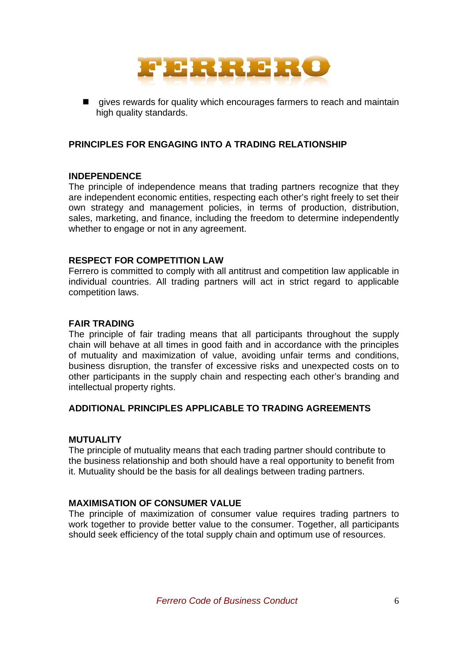

 $\blacksquare$  gives rewards for quality which encourages farmers to reach and maintain high quality standards.

# **PRINCIPLES FOR ENGAGING INTO A TRADING RELATIONSHIP**

## **INDEPENDENCE**

The principle of independence means that trading partners recognize that they are independent economic entities, respecting each other's right freely to set their own strategy and management policies, in terms of production, distribution, sales, marketing, and finance, including the freedom to determine independently whether to engage or not in any agreement.

## **RESPECT FOR COMPETITION LAW**

Ferrero is committed to comply with all antitrust and competition law applicable in individual countries. All trading partners will act in strict regard to applicable competition laws.

## **FAIR TRADING**

The principle of fair trading means that all participants throughout the supply chain will behave at all times in good faith and in accordance with the principles of mutuality and maximization of value, avoiding unfair terms and conditions, business disruption, the transfer of excessive risks and unexpected costs on to other participants in the supply chain and respecting each other's branding and intellectual property rights.

# **ADDITIONAL PRINCIPLES APPLICABLE TO TRADING AGREEMENTS**

#### **MUTUALITY**

The principle of mutuality means that each trading partner should contribute to the business relationship and both should have a real opportunity to benefit from it. Mutuality should be the basis for all dealings between trading partners.

#### **MAXIMISATION OF CONSUMER VALUE**

The principle of maximization of consumer value requires trading partners to work together to provide better value to the consumer. Together, all participants should seek efficiency of the total supply chain and optimum use of resources.